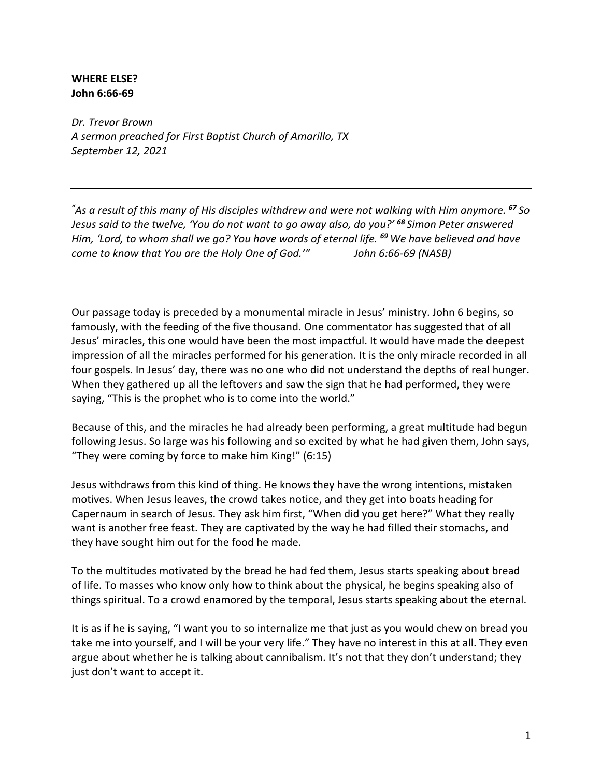## **WHERE ELSE? John 6:66-69**

*Dr. Trevor Brown A sermon preached for First Baptist Church of Amarillo, TX September 12, 2021*

*" As a result of this many of His disciples withdrew and were not walking with Him anymore. <sup>67</sup> So Jesus said to the twelve, 'You do not want to go away also, do you?' <sup>68</sup> Simon Peter answered Him, 'Lord, to whom shall we go? You have words of eternal life. <sup>69</sup> We have believed and have come to know that You are the Holy One of God.'" John 6:66-69 (NASB)*

Our passage today is preceded by a monumental miracle in Jesus' ministry. John 6 begins, so famously, with the feeding of the five thousand. One commentator has suggested that of all Jesus' miracles, this one would have been the most impactful. It would have made the deepest impression of all the miracles performed for his generation. It is the only miracle recorded in all four gospels. In Jesus' day, there was no one who did not understand the depths of real hunger. When they gathered up all the leftovers and saw the sign that he had performed, they were saying, "This is the prophet who is to come into the world."

Because of this, and the miracles he had already been performing, a great multitude had begun following Jesus. So large was his following and so excited by what he had given them, John says, "They were coming by force to make him King!" (6:15)

Jesus withdraws from this kind of thing. He knows they have the wrong intentions, mistaken motives. When Jesus leaves, the crowd takes notice, and they get into boats heading for Capernaum in search of Jesus. They ask him first, "When did you get here?" What they really want is another free feast. They are captivated by the way he had filled their stomachs, and they have sought him out for the food he made.

To the multitudes motivated by the bread he had fed them, Jesus starts speaking about bread of life. To masses who know only how to think about the physical, he begins speaking also of things spiritual. To a crowd enamored by the temporal, Jesus starts speaking about the eternal.

It is as if he is saying, "I want you to so internalize me that just as you would chew on bread you take me into yourself, and I will be your very life." They have no interest in this at all. They even argue about whether he is talking about cannibalism. It's not that they don't understand; they just don't want to accept it.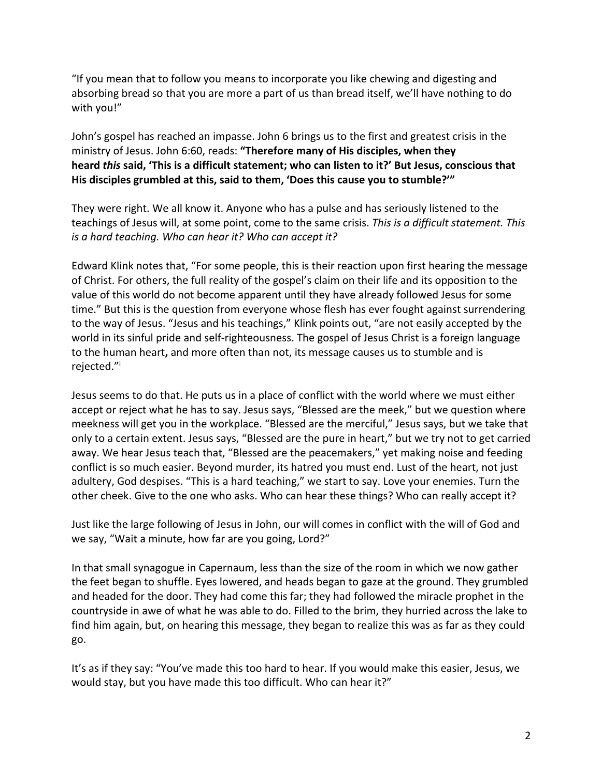"If you mean that to follow you means to incorporate you like chewing and digesting and absorbing bread so that you are more a part of us than bread itself, we'll have nothing to do with you!"

John's gospel has reached an impasse. John 6 brings us to the first and greatest crisis in the ministry of Jesus. John 6:60, reads: **"Therefore many of His disciples, when they heard** *this* **said, 'This is a difficult statement; who can listen to it?' But Jesus, conscious that His disciples grumbled at this, said to them, 'Does this cause you to stumble?'"**

They were right. We all know it. Anyone who has a pulse and has seriously listened to the teachings of Jesus will, at some point, come to the same crisis. *This is a difficult statement. This is a hard teaching. Who can hear it? Who can accept it?*

Edward Klink notes that, "For some people, this is their reaction upon first hearing the message of Christ. For others, the full reality of the gospel's claim on their life and its opposition to the value of this world do not become apparent until they have already followed Jesus for some time." But this is the question from everyone whose flesh has ever fought against surrendering to the way of Jesus. "Jesus and his teachings," Klink points out, "are not easily accepted by the world in its sinful pride and self-righteousness. The gospel of Jesus Christ is a foreign language to the human heart**,** and more often than not, its message causes us to stumble and is rejected."i

Jesus seems to do that. He puts us in a place of conflict with the world where we must either accept or reject what he has to say. Jesus says, "Blessed are the meek," but we question where meekness will get you in the workplace. "Blessed are the merciful," Jesus says, but we take that only to a certain extent. Jesus says, "Blessed are the pure in heart," but we try not to get carried away. We hear Jesus teach that, "Blessed are the peacemakers," yet making noise and feeding conflict is so much easier. Beyond murder, its hatred you must end. Lust of the heart, not just adultery, God despises. "This is a hard teaching," we start to say. Love your enemies. Turn the other cheek. Give to the one who asks. Who can hear these things? Who can really accept it?

Just like the large following of Jesus in John, our will comes in conflict with the will of God and we say, "Wait a minute, how far are you going, Lord?"

In that small synagogue in Capernaum, less than the size of the room in which we now gather the feet began to shuffle. Eyes lowered, and heads began to gaze at the ground. They grumbled and headed for the door. They had come this far; they had followed the miracle prophet in the countryside in awe of what he was able to do. Filled to the brim, they hurried across the lake to find him again, but, on hearing this message, they began to realize this was as far as they could go.

It's as if they say: "You've made this too hard to hear. If you would make this easier, Jesus, we would stay, but you have made this too difficult. Who can hear it?"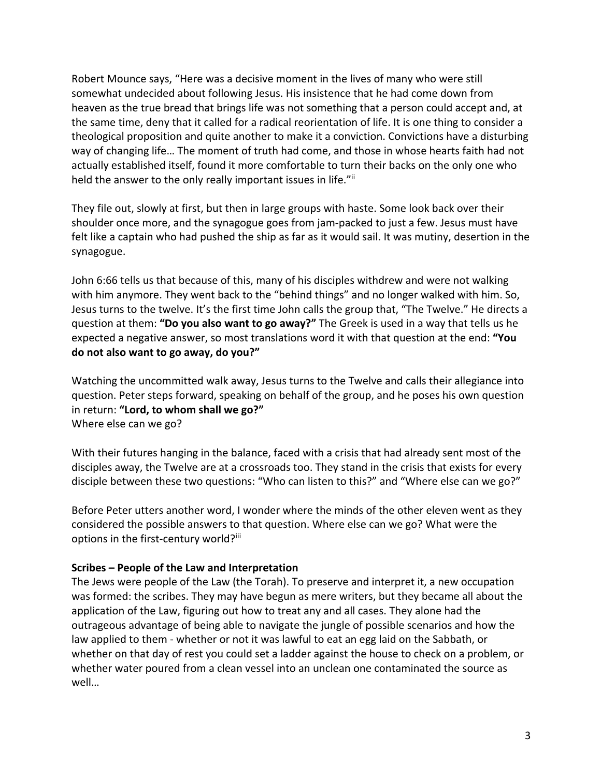Robert Mounce says, "Here was a decisive moment in the lives of many who were still somewhat undecided about following Jesus. His insistence that he had come down from heaven as the true bread that brings life was not something that a person could accept and, at the same time, deny that it called for a radical reorientation of life. It is one thing to consider a theological proposition and quite another to make it a conviction. Convictions have a disturbing way of changing life… The moment of truth had come, and those in whose hearts faith had not actually established itself, found it more comfortable to turn their backs on the only one who held the answer to the only really important issues in life."ii

They file out, slowly at first, but then in large groups with haste. Some look back over their shoulder once more, and the synagogue goes from jam-packed to just a few. Jesus must have felt like a captain who had pushed the ship as far as it would sail. It was mutiny, desertion in the synagogue.

John 6:66 tells us that because of this, many of his disciples withdrew and were not walking with him anymore. They went back to the "behind things" and no longer walked with him. So, Jesus turns to the twelve. It's the first time John calls the group that, "The Twelve." He directs a question at them: **"Do you also want to go away?"** The Greek is used in a way that tells us he expected a negative answer, so most translations word it with that question at the end: **"You do not also want to go away, do you?"**

Watching the uncommitted walk away, Jesus turns to the Twelve and calls their allegiance into question. Peter steps forward, speaking on behalf of the group, and he poses his own question in return: **"Lord, to whom shall we go?"** Where else can we go?

With their futures hanging in the balance, faced with a crisis that had already sent most of the disciples away, the Twelve are at a crossroads too. They stand in the crisis that exists for every disciple between these two questions: "Who can listen to this?" and "Where else can we go?"

Before Peter utters another word, I wonder where the minds of the other eleven went as they considered the possible answers to that question. Where else can we go? What were the options in the first-century world?iii

## **Scribes – People of the Law and Interpretation**

The Jews were people of the Law (the Torah). To preserve and interpret it, a new occupation was formed: the scribes. They may have begun as mere writers, but they became all about the application of the Law, figuring out how to treat any and all cases. They alone had the outrageous advantage of being able to navigate the jungle of possible scenarios and how the law applied to them - whether or not it was lawful to eat an egg laid on the Sabbath, or whether on that day of rest you could set a ladder against the house to check on a problem, or whether water poured from a clean vessel into an unclean one contaminated the source as well…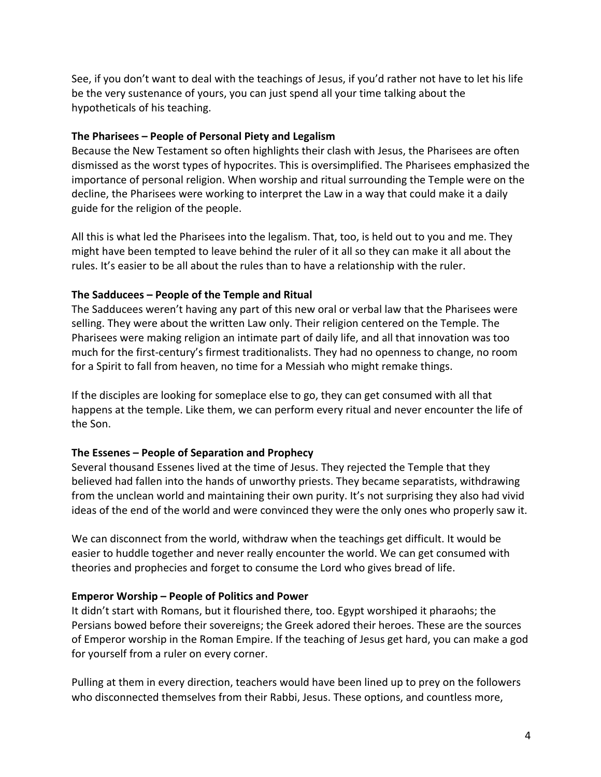See, if you don't want to deal with the teachings of Jesus, if you'd rather not have to let his life be the very sustenance of yours, you can just spend all your time talking about the hypotheticals of his teaching.

### **The Pharisees – People of Personal Piety and Legalism**

Because the New Testament so often highlights their clash with Jesus, the Pharisees are often dismissed as the worst types of hypocrites. This is oversimplified. The Pharisees emphasized the importance of personal religion. When worship and ritual surrounding the Temple were on the decline, the Pharisees were working to interpret the Law in a way that could make it a daily guide for the religion of the people.

All this is what led the Pharisees into the legalism. That, too, is held out to you and me. They might have been tempted to leave behind the ruler of it all so they can make it all about the rules. It's easier to be all about the rules than to have a relationship with the ruler.

## **The Sadducees – People of the Temple and Ritual**

The Sadducees weren't having any part of this new oral or verbal law that the Pharisees were selling. They were about the written Law only. Their religion centered on the Temple. The Pharisees were making religion an intimate part of daily life, and all that innovation was too much for the first-century's firmest traditionalists. They had no openness to change, no room for a Spirit to fall from heaven, no time for a Messiah who might remake things.

If the disciples are looking for someplace else to go, they can get consumed with all that happens at the temple. Like them, we can perform every ritual and never encounter the life of the Son.

#### **The Essenes – People of Separation and Prophecy**

Several thousand Essenes lived at the time of Jesus. They rejected the Temple that they believed had fallen into the hands of unworthy priests. They became separatists, withdrawing from the unclean world and maintaining their own purity. It's not surprising they also had vivid ideas of the end of the world and were convinced they were the only ones who properly saw it.

We can disconnect from the world, withdraw when the teachings get difficult. It would be easier to huddle together and never really encounter the world. We can get consumed with theories and prophecies and forget to consume the Lord who gives bread of life.

#### **Emperor Worship – People of Politics and Power**

It didn't start with Romans, but it flourished there, too. Egypt worshiped it pharaohs; the Persians bowed before their sovereigns; the Greek adored their heroes. These are the sources of Emperor worship in the Roman Empire. If the teaching of Jesus get hard, you can make a god for yourself from a ruler on every corner.

Pulling at them in every direction, teachers would have been lined up to prey on the followers who disconnected themselves from their Rabbi, Jesus. These options, and countless more,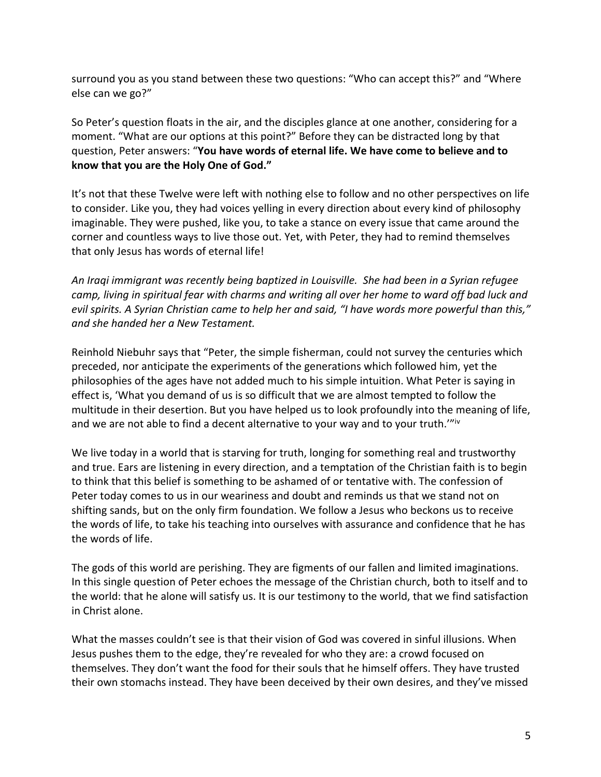surround you as you stand between these two questions: "Who can accept this?" and "Where else can we go?"

So Peter's question floats in the air, and the disciples glance at one another, considering for a moment. "What are our options at this point?" Before they can be distracted long by that question, Peter answers: "**You have words of eternal life. We have come to believe and to know that you are the Holy One of God."**

It's not that these Twelve were left with nothing else to follow and no other perspectives on life to consider. Like you, they had voices yelling in every direction about every kind of philosophy imaginable. They were pushed, like you, to take a stance on every issue that came around the corner and countless ways to live those out. Yet, with Peter, they had to remind themselves that only Jesus has words of eternal life!

*An Iraqi immigrant was recently being baptized in Louisville. She had been in a Syrian refugee camp, living in spiritual fear with charms and writing all over her home to ward off bad luck and evil spirits. A Syrian Christian came to help her and said, "I have words more powerful than this," and she handed her a New Testament.*

Reinhold Niebuhr says that "Peter, the simple fisherman, could not survey the centuries which preceded, nor anticipate the experiments of the generations which followed him, yet the philosophies of the ages have not added much to his simple intuition. What Peter is saying in effect is, 'What you demand of us is so difficult that we are almost tempted to follow the multitude in their desertion. But you have helped us to look profoundly into the meaning of life, and we are not able to find a decent alternative to your way and to your truth.""Iv

We live today in a world that is starving for truth, longing for something real and trustworthy and true. Ears are listening in every direction, and a temptation of the Christian faith is to begin to think that this belief is something to be ashamed of or tentative with. The confession of Peter today comes to us in our weariness and doubt and reminds us that we stand not on shifting sands, but on the only firm foundation. We follow a Jesus who beckons us to receive the words of life, to take his teaching into ourselves with assurance and confidence that he has the words of life.

The gods of this world are perishing. They are figments of our fallen and limited imaginations. In this single question of Peter echoes the message of the Christian church, both to itself and to the world: that he alone will satisfy us. It is our testimony to the world, that we find satisfaction in Christ alone.

What the masses couldn't see is that their vision of God was covered in sinful illusions. When Jesus pushes them to the edge, they're revealed for who they are: a crowd focused on themselves. They don't want the food for their souls that he himself offers. They have trusted their own stomachs instead. They have been deceived by their own desires, and they've missed